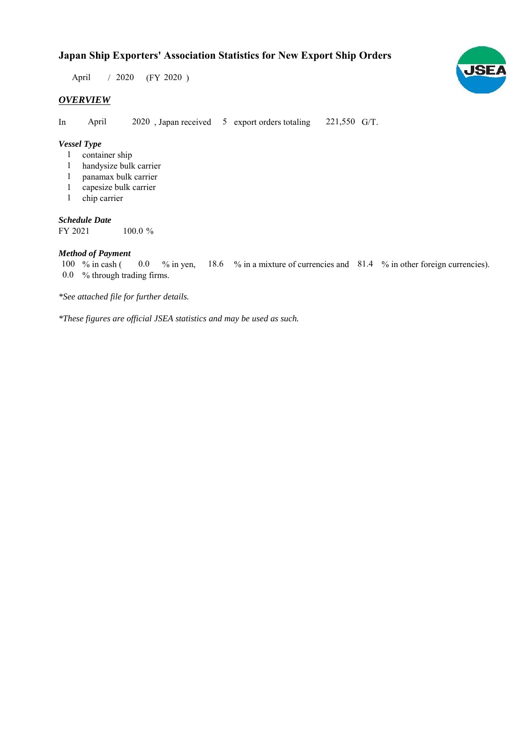# **Japan Ship Exporters' Association Statistics for New Export Ship Orders**

 $/ 2020$  (FY 2020) April

## *OVERVIEW*

In April 2020, Japan received 5 export orders totaling 221,550 G/T. April

#### *Vessel Type*

- container ship 1
- handysize bulk carrier 1
- panamax bulk carrier 1
- capesize bulk carrier 1
- 1 chip carrier

#### *Schedule Date*

FY 2021 100.0

#### *Method of Payment*

% in cash ( $\ 0.0\,$  % in yen,  $\ 18.6\,$  % in a mixture of currencies and  $\ 81.4\,$  % in other foreign currencies). % through trading firms. 0.0 100 % in cash (

*\*See attached file for further details.*

*\*These figures are official JSEA statistics and may be used as such.*

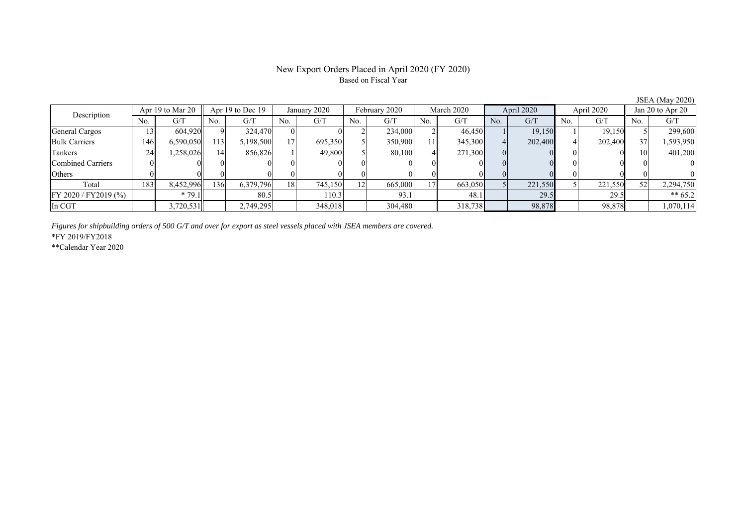#### New Export Orders Placed in April 2020 (FY 2020) Based on Fiscal Year

No. G/T No. G/T No. G/T No. G/T No. G/T No. G/T No. G/T No. G/T General Cargos ( 13 604,920 9) 324,470 0 0 2 234,000 2 46,450 1 19,150 1 19,150 5 299,600 Bulk Carriers 146 6,590,050 113 5,198,500 17 695,350 5 350,900 11 345,300 4 202,400 4 202,400 37 1,593,950 Tankers 24 1,258,026 14 856,826 1 49,800 5 80,100 4 271,300 0 0 0 0 10 401,200 Combined Carriers 0 0 0 0 0 0 0 0 0 0 0 0 0 0 0 0 Others 0 0 0 0 0 0 0 0 0 0 0 0 0 0 0 0 Total | 183 8,452,996 136 6,379,796 18 745,150 12 665,000 17 663,050 5 221,550 5 221,550 52 2,294,750 FY 2020 / FY2019 (%) \* 79.1 80.5 110.3 93.1 48.1 29.5 29.5 \*\* 65.2 In CGT | | 3,720,531 | | 2,749,295 | | 348,018 | | 304,480 | | 318,738 | | 98,878 | | 98,878 | | 1,070,114 Description Apr 19 to Mar 20 Apr 19 to Dec 19 January 2020 February 2020 March 2020 April 2020 April 2020 Jan 20 to Apr 20

*Figures for shipbuilding orders of 500 G/T and over for export as steel vessels placed with JSEA members are covered.*

\*FY 2019/FY2018

\*\*Calendar Year 2020

JSEA (May 2020)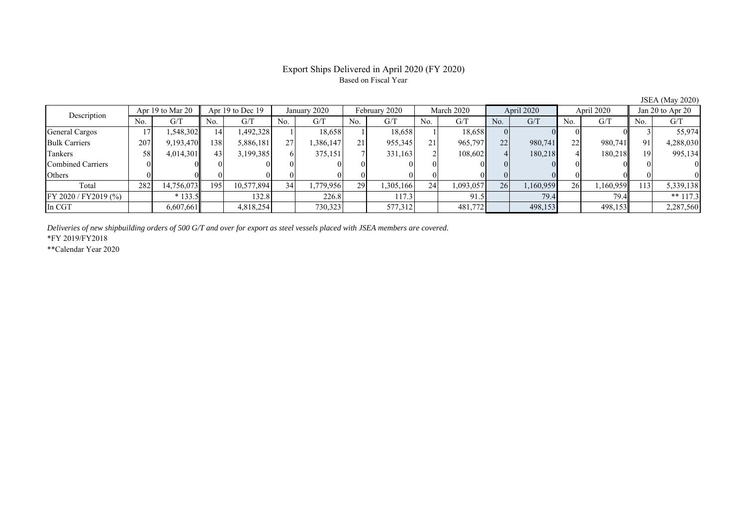## Export Ships Delivered in April 2020 (FY 2020) Based on Fiscal Year

JSEA (May 2020)

| Description             | Apr 19 to Mar 20 |            | Apr 19 to Dec 19 |            | January 2020    |           | February 2020 |           | March 2020 |           | April 2020 |           | April 2020 |           | Jan 20 to Apr 20 |            |
|-------------------------|------------------|------------|------------------|------------|-----------------|-----------|---------------|-----------|------------|-----------|------------|-----------|------------|-----------|------------------|------------|
|                         | No.              | G/T        | No.              | G/T        | No.             | G/T       | No.           | G/T       | No.        | G/T       | No.        | G/T       | No.        | G/T       | No.              | G/T        |
| General Cargos          |                  | .548,302   | 14               | 1,492,328  |                 | 18,658    |               | 18,658    |            | 18,658    |            |           |            |           |                  | 55,974     |
| <b>Bulk Carriers</b>    | 207              | 9,193,470  | 138              | 5,886,181  | 27              | 386,147   | 21            | 955,345   | 21         | 965,797   | 22         | 980,741   | 22         | 980,741   | 91               | 4,288,030  |
| Tankers                 | 58               | 4,014,301  | 43.              | 3,199,385  |                 | 375,151   |               | 331,163   |            | 108.602   |            | 180,218   |            | 180,218   | 19               | 995,134    |
| Combined Carriers       |                  |            |                  |            |                 |           |               |           |            |           |            |           |            |           |                  |            |
| Others                  |                  |            |                  |            |                 |           |               |           |            |           |            |           |            |           |                  |            |
| Total                   | 282              | 14,756,073 | 195              | 10,577,894 | 34 <sub>1</sub> | 1,779,956 | 29            | 1,305,166 | 24         | 1,093,057 | 26         | 1,160,959 | 26         | 1,160,959 | 113              | 5,339,138  |
| $FY 2020 / FY 2019$ (%) |                  | $*133.5$   |                  | 132.8      |                 | 226.8     |               | 117.3     |            | 91.5      |            | 79.4      |            | 79.4      |                  | ** $117.3$ |
| In CGT                  |                  | 6,607,661  |                  | 4,818,254  |                 | 730,323   |               | 577,312   |            | 481,772   |            | 498,153   |            | 498,153   |                  | 2,287,560  |

*Deliveries of new shipbuilding orders of 500 G/T and over for export as steel vessels placed with JSEA members are covered.*

\*FY 2019/FY2018

\*\*Calendar Year 2020